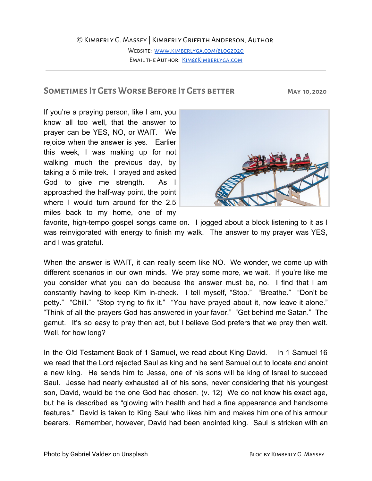## ©Kimberly G. Massey | Kimberly Griffith Anderson, Author

WEBSITE: WWW.KIMBERLYGA.COM/BLOG2020 EMAIL THE AUTHOR: KIM@KIMBERLYGA.COM

# **Sometimes It Gets Worse Before It Gets better May 10, 2020**

If you're a praying person, like I am, you know all too well, that the answer to prayer can be YES, NO, or WAIT. We rejoice when the answer is yes. Earlier this week, I was making up for not walking much the previous day, by taking a 5 mile trek. I prayed and asked God to give me strength. As I approached the half-way point, the point where I would turn around for the 2.5 miles back to my home, one of my



favorite, high-tempo gospel songs came on. I jogged about a block listening to it as I was reinvigorated with energy to finish my walk. The answer to my prayer was YES, and I was grateful.

When the answer is WAIT, it can really seem like NO. We wonder, we come up with different scenarios in our own minds. We pray some more, we wait. If you're like me you consider what you can do because the answer must be, no. I find that I am constantly having to keep Kim in-check. I tell myself, "Stop." "Breathe." "Don't be petty." "Chill." "Stop trying to fix it." "You have prayed about it, now leave it alone." "Think of all the prayers God has answered in your favor." "Get behind me Satan." The gamut. It's so easy to pray then act, but I believe God prefers that we pray then wait. Well, for how long?

In the Old Testament Book of 1 Samuel, we read about King David. In 1 Samuel 16 we read that the Lord rejected Saul as king and he sent Samuel out to locate and anoint a new king. He sends him to Jesse, one of his sons will be king of Israel to succeed Saul. Jesse had nearly exhausted all of his sons, never considering that his youngest son, David, would be the one God had chosen. (v. 12) We do not know his exact age, but he is described as "glowing with health and had a fine appearance and handsome features." David is taken to King Saul who likes him and makes him one of his armour bearers. Remember, however, David had been anointed king. Saul is stricken with an